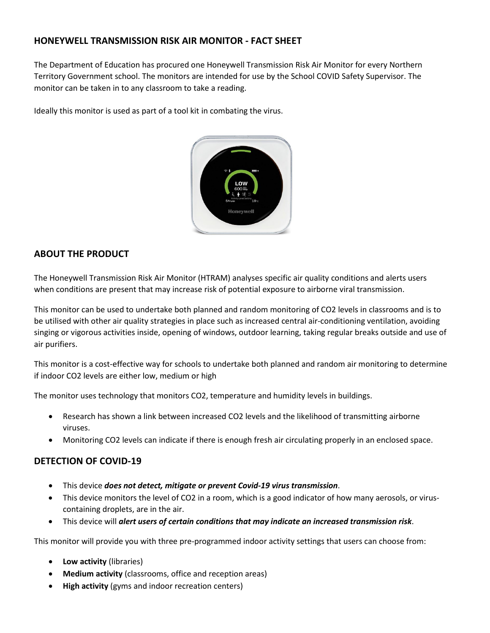# **HONEYWELL TRANSMISSION RISK AIR MONITOR - FACT SHEET**

The Department of Education has procured one Honeywell Transmission Risk Air Monitor for every Northern Territory Government school. The monitors are intended for use by the School COVID Safety Supervisor. The monitor can be taken in to any classroom to take a reading.

Ideally this monitor is used as part of a tool kit in combating the virus.



# **ABOUT THE PRODUCT**

The Honeywell Transmission Risk Air Monitor (HTRAM) analyses specific air quality conditions and alerts users when conditions are present that may increase risk of potential exposure to airborne viral transmission.

This monitor can be used to undertake both planned and random monitoring of CO2 levels in classrooms and is to be utilised with other air quality strategies in place such as increased central air-conditioning ventilation, avoiding singing or vigorous activities inside, opening of windows, outdoor learning, taking regular breaks outside and use of air purifiers.

This monitor is a cost-effective way for schools to undertake both planned and random air monitoring to determine if indoor CO2 levels are either low, medium or high

The monitor uses technology that monitors CO2, temperature and humidity levels in buildings.

- Research has shown a link between increased CO2 levels and the likelihood of transmitting airborne viruses.
- Monitoring CO2 levels can indicate if there is enough fresh air circulating properly in an enclosed space.

## **DETECTION OF COVID-19**

- This device *does not detect, mitigate or prevent Covid-19 virus transmission*.
- This device monitors the level of CO2 in a room, which is a good indicator of how many aerosols, or viruscontaining droplets, are in the air.
- This device will *alert users of certain conditions that may indicate an increased transmission risk*.

This monitor will provide you with three pre-programmed indoor activity settings that users can choose from:

- **Low activity** (libraries)
- **Medium activity** (classrooms, office and reception areas)
- **High activity** (gyms and indoor recreation centers)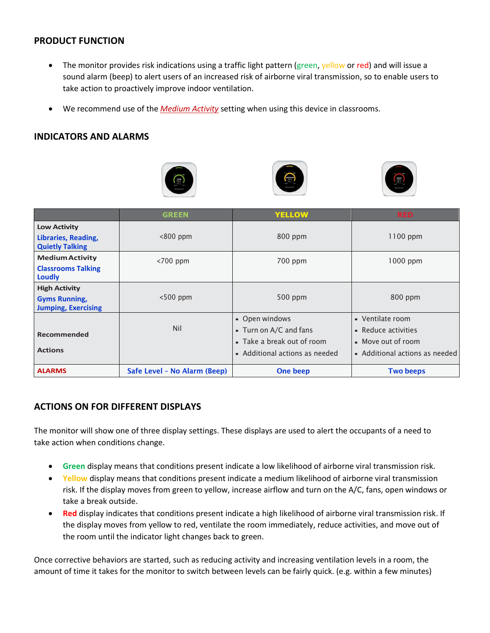### **PRODUCT FUNCTION**

- The monitor provides risk indications using a traffic light pattern (green, yellow or red) and will issue a sound alarm (beep) to alert users of an increased risk of airborne viral transmission, so to enable users to take action to proactively improve indoor ventilation.
- We recommend use of the *Medium Activity* setting when using this device in classrooms.

#### **INDICATORS AND ALARMS**







|                                                                            | <b>GREEN</b>                 | <b>YELLOW</b>                                                                                            | <b>RED</b>                                                                                      |
|----------------------------------------------------------------------------|------------------------------|----------------------------------------------------------------------------------------------------------|-------------------------------------------------------------------------------------------------|
| <b>Low Activity</b><br>Libraries, Reading,<br><b>Quietly Talking</b>       | $< 800$ ppm                  | 800 ppm                                                                                                  | $1100$ ppm                                                                                      |
| <b>Medium Activity</b><br><b>Classrooms Talking</b><br><b>Loudly</b>       | $<$ 700 ppm                  | 700 ppm                                                                                                  | 1000 ppm                                                                                        |
| <b>High Activity</b><br><b>Gyms Running,</b><br><b>Jumping, Exercising</b> | $<$ 500 ppm                  | 500 ppm                                                                                                  | $800$ ppm                                                                                       |
| Recommended<br><b>Actions</b>                                              | Nil                          | - Open windows<br>- Turn on A/C and fans<br>■ Take a break out of room<br>• Additional actions as needed | - Ventilate room<br>- Reduce activities<br>• Move out of room<br>• Additional actions as needed |
| <b>ALARMS</b>                                                              | Safe Level - No Alarm (Beep) | One beep                                                                                                 | <b>Two beeps</b>                                                                                |

## **ACTIONS ON FOR DIFFERENT DISPLAYS**

The monitor will show one of three display settings. These displays are used to alert the occupants of a need to take action when conditions change.

- **Green** display means that conditions present indicate a low likelihood of airborne viral transmission risk.
- **Yellow** display means that conditions present indicate a medium likelihood of airborne viral transmission risk. If the display moves from green to yellow, increase airflow and turn on the A/C, fans, open windows or take a break outside.
- **Red** display indicates that conditions present indicate a high likelihood of airborne viral transmission risk. If the display moves from yellow to red, ventilate the room immediately, reduce activities, and move out of the room until the indicator light changes back to green.

Once corrective behaviors are started, such as reducing activity and increasing ventilation levels in a room, the amount of time it takes for the monitor to switch between levels can be fairly quick. (e.g. within a few minutes)